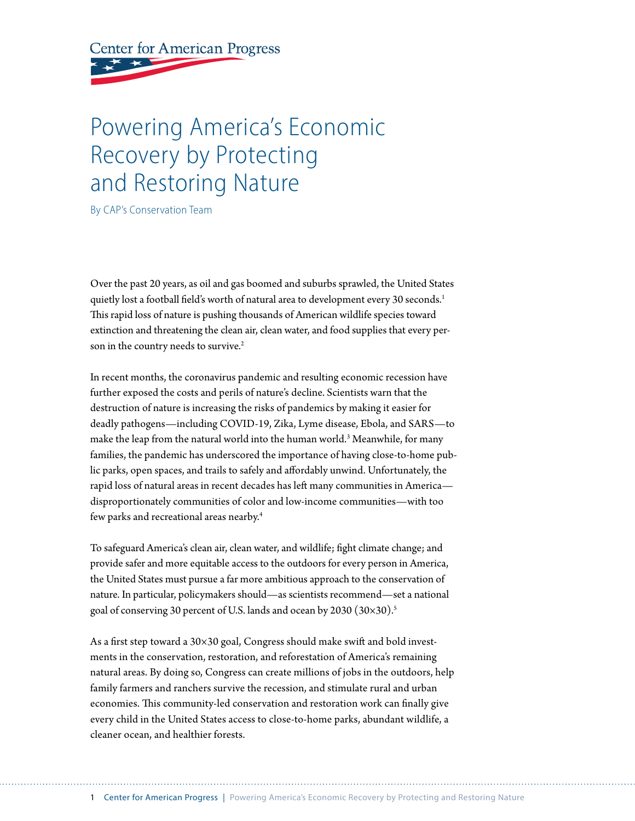**Center for American Progress** 

# Powering America's Economic Recovery by Protecting and Restoring Nature

By CAP's Conservation Team

Over the past 20 years, as oil and gas boomed and suburbs sprawled, the United States quietly lost a football field's worth of natural area to development every 30 seconds.<sup>1</sup> This rapid loss of nature is pushing thousands of American wildlife species toward extinction and threatening the clean air, clean water, and food supplies that every person in the country needs to survive.<sup>2</sup>

In recent months, the coronavirus pandemic and resulting economic recession have further exposed the costs and perils of nature's decline. Scientists warn that the destruction of nature is increasing the risks of pandemics by making it easier for deadly pathogens—including COVID-19, Zika, Lyme disease, Ebola, and SARS—to make the leap from the natural world into the human world.3 Meanwhile, for many families, the pandemic has underscored the importance of having close-to-home public parks, open spaces, and trails to safely and affordably unwind. Unfortunately, the rapid loss of natural areas in recent decades has left many communities in America disproportionately communities of color and low-income communities—with too few parks and recreational areas nearby.4

To safeguard America's clean air, clean water, and wildlife; fight climate change; and provide safer and more equitable access to the outdoors for every person in America, the United States must pursue a far more ambitious approach to the conservation of nature. In particular, policymakers should—as scientists recommend—set a national goal of conserving 30 percent of U.S. lands and ocean by 2030 (30×30).<sup>5</sup>

As a first step toward a 30×30 goal, Congress should make swift and bold investments in the conservation, restoration, and reforestation of America's remaining natural areas. By doing so, Congress can create millions of jobs in the outdoors, help family farmers and ranchers survive the recession, and stimulate rural and urban economies. This community-led conservation and restoration work can finally give every child in the United States access to close-to-home parks, abundant wildlife, a cleaner ocean, and healthier forests.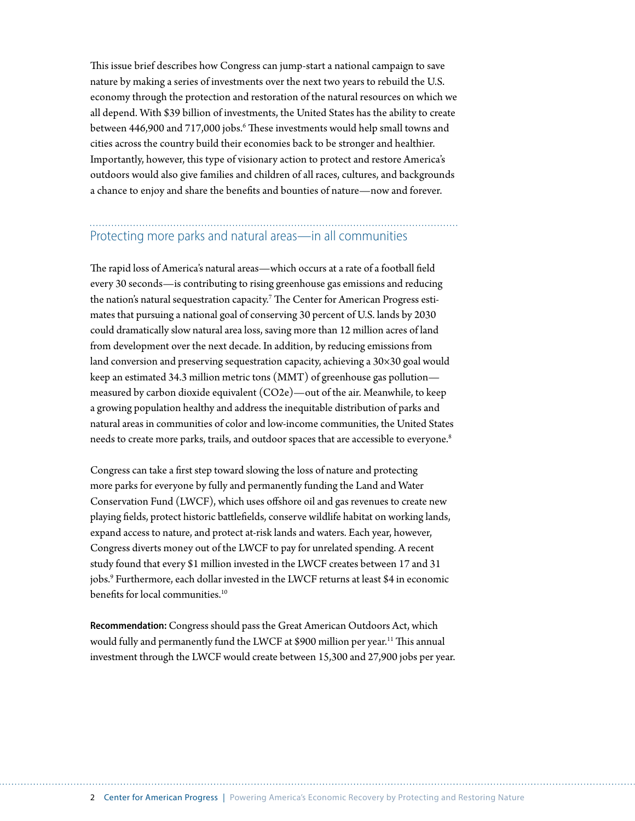This issue brief describes how Congress can jump-start a national campaign to save nature by making a series of investments over the next two years to rebuild the U.S. economy through the protection and restoration of the natural resources on which we all depend. With \$39 billion of investments, the United States has the ability to create between 446,900 and 717,000 jobs.<sup>6</sup> These investments would help small towns and cities across the country build their economies back to be stronger and healthier. Importantly, however, this type of visionary action to protect and restore America's outdoors would also give families and children of all races, cultures, and backgrounds a chance to enjoy and share the benefits and bounties of nature—now and forever.

# Protecting more parks and natural areas—in all communities

The rapid loss of America's natural areas—which occurs at a rate of a football field every 30 seconds—is contributing to rising greenhouse gas emissions and reducing the nation's natural sequestration capacity. $^7$  The Center for American Progress estimates that pursuing a national goal of conserving 30 percent of U.S. lands by 2030 could dramatically slow natural area loss, saving more than 12 million acres of land from development over the next decade. In addition, by reducing emissions from land conversion and preserving sequestration capacity, achieving a 30×30 goal would keep an estimated 34.3 million metric tons (MMT) of greenhouse gas pollution measured by carbon dioxide equivalent (CO2e)—out of the air. Meanwhile, to keep a growing population healthy and address the inequitable distribution of parks and natural areas in communities of color and low-income communities, the United States needs to create more parks, trails, and outdoor spaces that are accessible to everyone.<sup>8</sup>

Congress can take a first step toward slowing the loss of nature and protecting more parks for everyone by fully and permanently funding the Land and Water Conservation Fund (LWCF), which uses offshore oil and gas revenues to create new playing fields, protect historic battlefields, conserve wildlife habitat on working lands, expand access to nature, and protect at-risk lands and waters. Each year, however, Congress diverts money out of the LWCF to pay for unrelated spending. A recent study found that every \$1 million invested in the LWCF creates between 17 and 31 jobs.9 Furthermore, each dollar invested in the LWCF returns at least \$4 in economic benefits for local communities.<sup>10</sup>

**Recommendation:** Congress should pass the Great American Outdoors Act, which would fully and permanently fund the LWCF at \$900 million per year.<sup>11</sup> This annual investment through the LWCF would create between 15,300 and 27,900 jobs per year.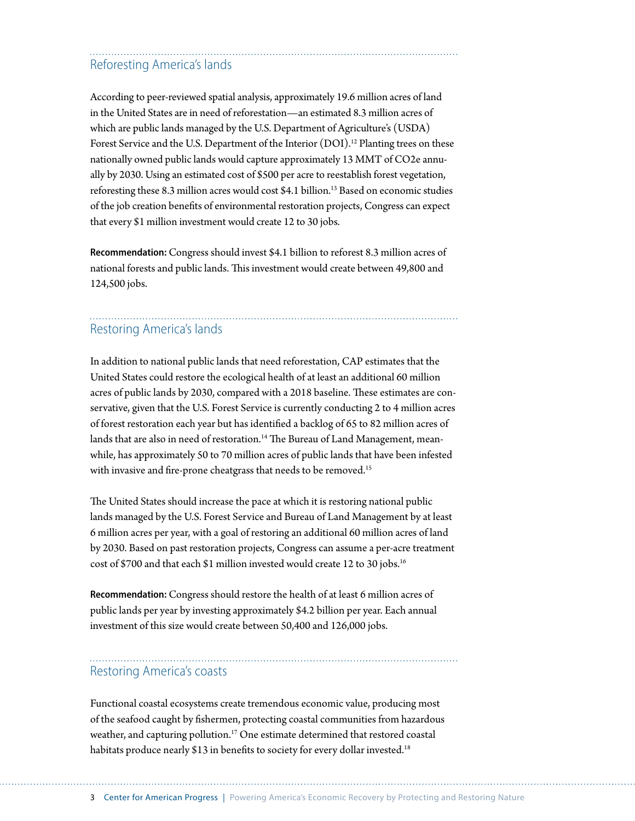# Reforesting America's lands

According to peer-reviewed spatial analysis, approximately 19.6 million acres of land in the United States are in need of reforestation—an estimated 8.3 million acres of which are public lands managed by the U.S. Department of Agriculture's (USDA) Forest Service and the U.S. Department of the Interior (DOI).<sup>12</sup> Planting trees on these nationally owned public lands would capture approximately 13 MMT of CO2e annually by 2030. Using an estimated cost of \$500 per acre to reestablish forest vegetation, reforesting these 8.3 million acres would cost \$4.1 billion.<sup>13</sup> Based on economic studies of the job creation benefits of environmental restoration projects, Congress can expect that every \$1 million investment would create 12 to 30 jobs.

**Recommendation:** Congress should invest \$4.1 billion to reforest 8.3 million acres of national forests and public lands. This investment would create between 49,800 and 124,500 jobs.

# Restoring America's lands

In addition to national public lands that need reforestation, CAP estimates that the United States could restore the ecological health of at least an additional 60 million acres of public lands by 2030, compared with a 2018 baseline. These estimates are conservative, given that the U.S. Forest Service is currently conducting 2 to 4 million acres of forest restoration each year but has identified a backlog of 65 to 82 million acres of lands that are also in need of restoration.<sup>14</sup> The Bureau of Land Management, meanwhile, has approximately 50 to 70 million acres of public lands that have been infested with invasive and fire-prone cheatgrass that needs to be removed.<sup>15</sup>

The United States should increase the pace at which it is restoring national public lands managed by the U.S. Forest Service and Bureau of Land Management by at least 6 million acres per year, with a goal of restoring an additional 60 million acres of land by 2030. Based on past restoration projects, Congress can assume a per-acre treatment cost of \$700 and that each \$1 million invested would create 12 to 30 jobs.<sup>16</sup>

**Recommendation:** Congress should restore the health of at least 6 million acres of public lands per year by investing approximately \$4.2 billion per year. Each annual investment of this size would create between 50,400 and 126,000 jobs.

### Restoring America's coasts

Functional coastal ecosystems create tremendous economic value, producing most of the seafood caught by fishermen, protecting coastal communities from hazardous weather, and capturing pollution.<sup>17</sup> One estimate determined that restored coastal habitats produce nearly \$13 in benefits to society for every dollar invested.<sup>18</sup>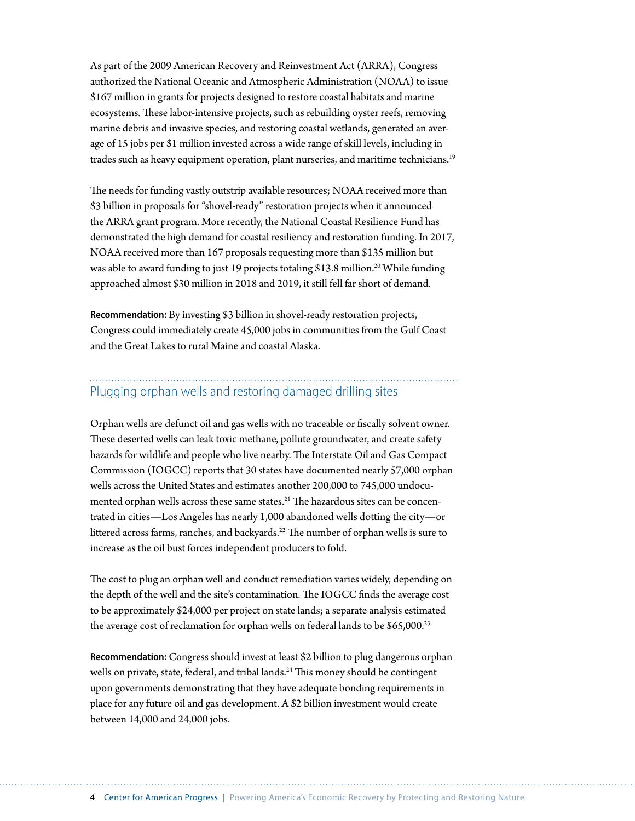As part of the 2009 American Recovery and Reinvestment Act (ARRA), Congress authorized the National Oceanic and Atmospheric Administration (NOAA) to issue \$167 million in grants for projects designed to restore coastal habitats and marine ecosystems. These labor-intensive projects, such as rebuilding oyster reefs, removing marine debris and invasive species, and restoring coastal wetlands, generated an average of 15 jobs per \$1 million invested [a](https://spo.nmfs.noaa.gov/content/tech-memo/socioeconomic-benefits-habitat-restoration)cross a wide range of skill levels, including in trades such as heavy equipment operation, plant nurseries, and maritime technicians.<sup>19</sup>

The needs for funding vastly outstrip available resources; NOAA received more than \$3 billion in proposals for "shovel-ready" restoration projects when it announced the ARRA grant program. More recently, the National Coastal Resilience Fund has demonstrated the high demand for coastal resiliency and restoration funding. In 2017, NOAA received more than 167 proposals requesting more than \$135 million but was able to award funding to just 19 projects totaling \$13.8 million.<sup>20</sup> While funding approached almost \$30 million in 2018 and 2019, it still fell far short of demand.

**Recommendation:** By investing \$3 billion in shovel-ready restoration projects, Congress could immediately create 45,000 jobs in communities from the Gulf Coast and the Great Lakes to rural Maine and coastal Alaska.

### Plugging orphan wells and restoring damaged drilling sites

Orphan wells are defunct oil and gas wells with no traceable or fiscally solvent owner. These deserted wells can leak toxic methane, pollute groundwater, and create safety hazards for wildlife and people who live nearby. The Interstate Oil and Gas Compact Commission (IOGCC) reports that 30 states have documented nearly 57,000 orphan wells across the United States and estimates another 200,000 to 745,000 undocumented orphan wells across these same states.<sup>21</sup> The hazardous sites can be concentrated in cities—Los Angeles has nearly 1,000 abandoned wells dotting the city—or littered across farms, ranches, and backyards.<sup>22</sup> The number of orphan wells is sure to increase as the oil bust forces independent producers to fold.

The cost to plug an orphan well and conduct remediation varies widely, depending on the depth of the well and the site's contamination. The IOGCC finds the [a](http://iogcc.ok.gov/Websites/iogcc/images/Publications/2020%2003%2004%20UPDATED%20Idle%20and%20Orphan%20oil%20and%20gas%20wells%20report.pdf)verage cost to be approximately \$24,000 per project on state lands; a separate analysis estimated th[e](http://westernpriorities.org/wp-content/uploads/2018/02/Bonding-Report.pdf) average cost of reclamation for orphan wells on federal lands to be \$65,000.<sup>23</sup>

**Recommendation:** Congress should invest at least \$2 billion to plug dangerous orphan wells on private, state, federal, and tribal lands.<sup>24</sup> This money should be contingent upon governments demonstrating that they have adequate bonding requirements in place for any future oil and gas development. A \$2 billion investment would create between 14,000 and 24,000 jobs.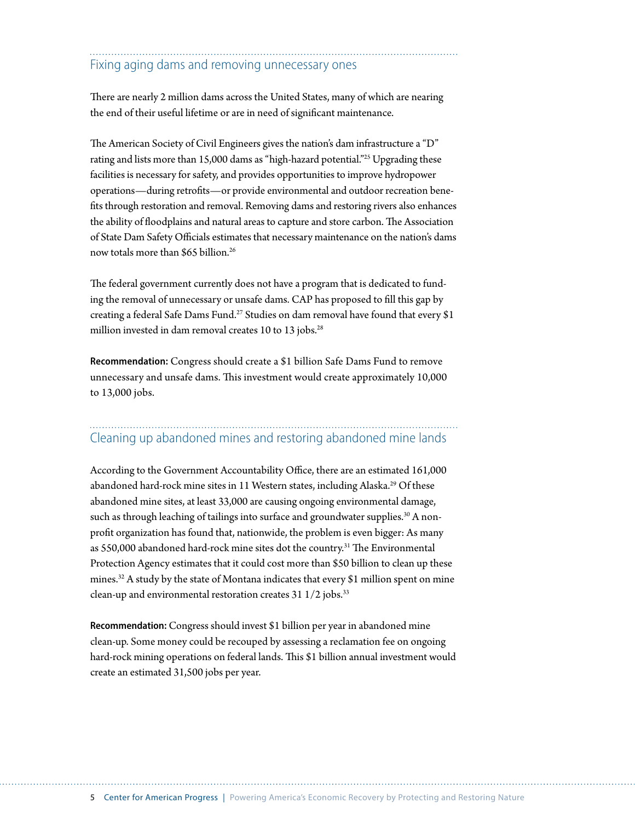# Fixing aging dams and removing unnecessary ones

There are nearly 2 million dams across the United States, many of which are nearing the end of their useful lifetime or are in need of significant maintenance.

The American Society of Civil Engineers gives the nation's dam infrastructure a "D" rating and lists more than 15,000 dams as "high-hazard potential."25 Upgrading these facilities is necessary for safety, and provides opportunities to improve hydropower operations—during retrofits—or provide environmental and outdoor recreation benefits through restoration and removal. Removing dams and restoring rivers also enhances the ability of floodplains and natural areas to capture and store carbon. The Association of State Dam Safety Officials estimates that necessary maintenance on the nation's dams now totals more than \$65 billion.<sup>26</sup>

The federal government currently does not have a program that is dedicated to funding the removal of unnecessary or unsafe dams. CAP has proposed to fill this gap by creating a federal Safe Dams Fund.27 Studies on dam removal have found that every \$1 million invested in dam removal creates 10 to 13 jobs.<sup>28</sup>

**Recommendation:** Congress should create a \$1 billion Safe Dams Fund to remove unnecessary and unsafe dams. This investment would create approximately 10,000 to 13,000 jobs.

#### Cleaning up abandoned mines and restoring abandoned mine lands

According to the Government Accountability Office, there are an estimated 161,000 abandoned hard-rock mine sites in 11 Western states, including Alaska.<sup>29</sup> Of these abandoned mine sites, at least 33,000 are causing ongoing environmental damage, such as through leaching of tailings into surface and groundwater supplies.<sup>30</sup> A nonprofit organization has found that, nationwide, the problem is even bigger: As many as 550,000 abandoned hard-rock mine sites dot the country.<sup>31</sup> The Environmental Protection Agency estimates that it could cost more than \$50 billion to clean up these mines.32 A study by the state of Montana indicates that every \$1 million spent on mine clean-up and environmental restoration creates  $31 \frac{1}{2}$  jobs.<sup>33</sup>

**Recommendation:** Congress should invest \$1 billion per year in abandoned mine clean-up. Some money could be recouped by assessing a reclamation fee on ongoing hard-rock mining operations on federal lands. This \$1 billion annual investment would create an estimated 31,500 jobs per year.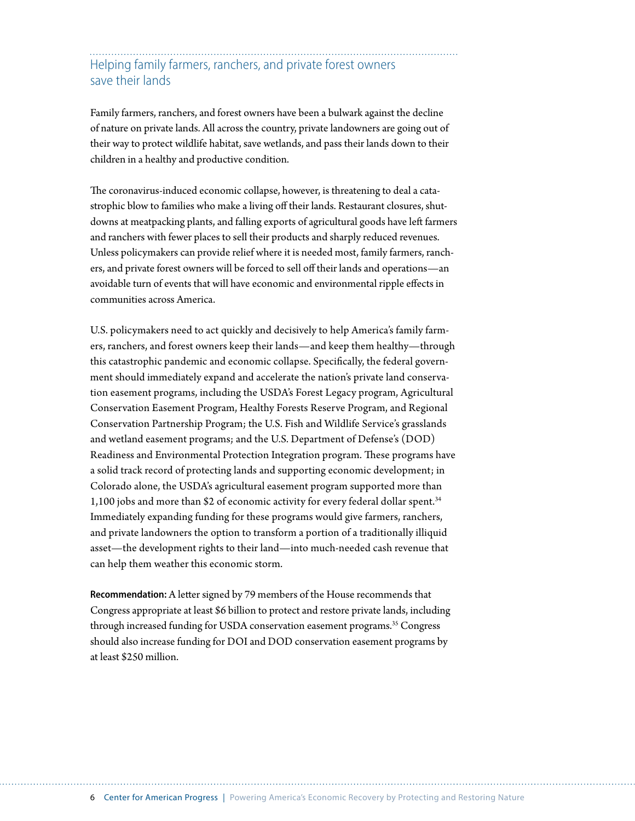# Helping family farmers, ranchers, and private forest owners save their lands

Family farmers, ranchers, and forest owners have been a bulwark against the decline of nature on private lands. All across the country, private landowners are going out of their way to protect wildlife habitat, save wetlands, and pass their lands down to their children in a healthy and productive condition.

The coronavirus-induced economic collapse, however, is threatening to deal a catastrophic blow to families who make a living off their lands. Restaurant closures, shutdowns at meatpacking plants, and falling exports of agricultural goods have left farmers and ranchers with fewer places to sell their products and sharply reduced revenues. Unless policymakers can provide relief where it is needed most, family farmers, ranchers, and private forest owners will be forced to sell off their lands and operations—an avoidable turn of events that will have economic and environmental ripple effects in communities across America.

U.S. policymakers need to act quickly and decisively to help America's family farmers, ranchers, and forest owners keep their lands—and keep them healthy—through this catastrophic pandemic and economic collapse. Specifically, the federal government should immediately expand and accelerate the nation's private land conservation easement programs, including the USDA's Forest Legacy program, Agricultural Conservation Easement Program, Healthy Forests Reserve Program, and Regional Conservation Partnership Program; the U.S. Fish and Wildlife Service's grasslands and wetland easement programs; and the U.S. Department of Defense's (DOD) Readiness and Environmental Protection Integration program. These programs have a solid track record of protecting lands and supporting economic development; in Colorado alone, the USDA's agricultural easement program supported more than 1,100 jobs and more than \$2 of economic activity for every federal dollar spent.<sup>34</sup> Immediately expanding funding for these programs would give farmers, ranchers, and private landowners the option to transform a portion of a traditionally illiquid asset—the development rights to their land—into much-needed cash revenue that can help them weather this economic storm.

**Recommendation:** A letter signed by 79 members of the House recommends that Congress appropriate at least \$6 billion to protect and restore private lands, including through increased funding for USDA conservation easement programs.<sup>35</sup> Congress should also increase funding for DOI and DOD conservation easement programs by at least \$250 million.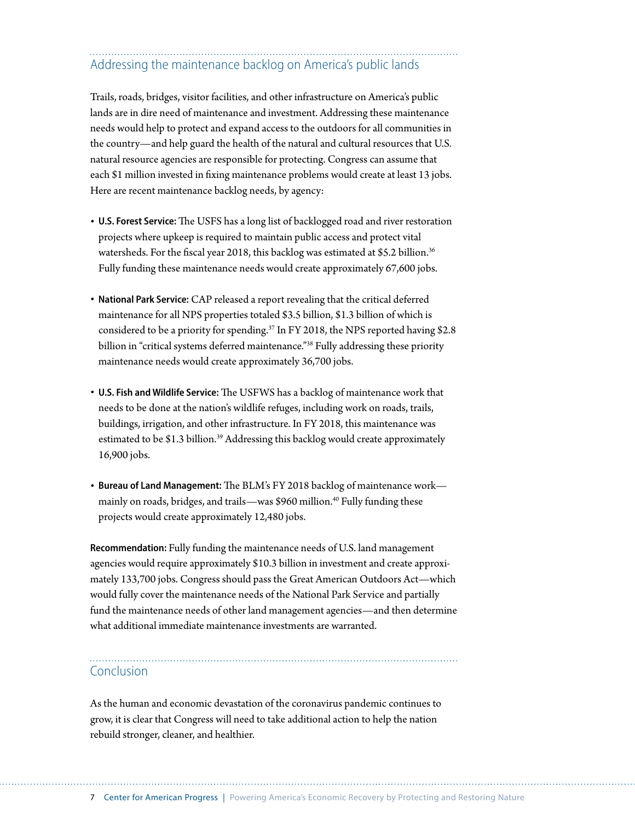# Addressing the maintenance backlog on America's public lands

Trails, roads, bridges, visitor facilities, and other infrastructure on America's public lands are in dire need of maintenance and investment. Addressing these maintenance needs would help to protect and expand access to the outdoors for all communities in the country—and help guard the health of the natural and cultural resources that U.S. natural resource agencies are responsible for protecting. Congress can assume that each \$1 million invested in fixing maintenance problems would create at least 13 jobs. Here are recent maintenance backlog needs, by agency:

- **U.S. Forest Service:** The USFS has a long list of backlogged road and river restoration projects where upkeep is required to maintain public access and protect vital watersheds. For the fiscal year 2018, this backlog was estimated at \$5.2 billion.<sup>36</sup> Fully funding these maintenance needs would create approximately 67,600 jobs.
- **National Park Service:** CAP released a report revealing that the critical deferred maintenance for all NPS properties totaled \$3.5 billion, \$1.3 billion of which is considered to be a priority for spending.37 In FY 2018, the NPS reported having \$2.8 billion in "critical systems deferred maintenance."38 Fully addressing these priority maintenance needs would create approximately 36,700 jobs.
- **U.S. Fish and Wildlife Service:** The USFWS has a backlog of maintenance work that needs to be done at the nation's wildlife refuges, including work on roads, trails, buildings, irrigation, and other infrastructure. In FY 2018, this maintenance was estimated to be \$1.3 billion.<sup>39</sup> Addressing this backlog would create approximately 16,900 jobs.
- **Bureau of Land Management:** The BLM's FY 2018 backlog of maintenance work mainly on roads, bridges, and trails—was \$960 million.<sup>40</sup> Fully funding these projects would create approximately 12,480 jobs.

**Recommendation:** Fully funding the maintenance needs of U.S. land management agencies would require approximately \$10.3 billion in investment and create approximately 133,700 jobs. Congress should pass the Great American Outdoors Act—which would fully cover the maintenance needs of the National Park Service and partially fund the maintenance needs of other land management agencies—and then determine what additional immediate maintenance investments are warranted.

### Conclusion

As the human and economic devastation of the coronavirus pandemic continues to grow, it is clear that Congress will need to take additional action to help the nation rebuild stronger, cleaner, and healthier.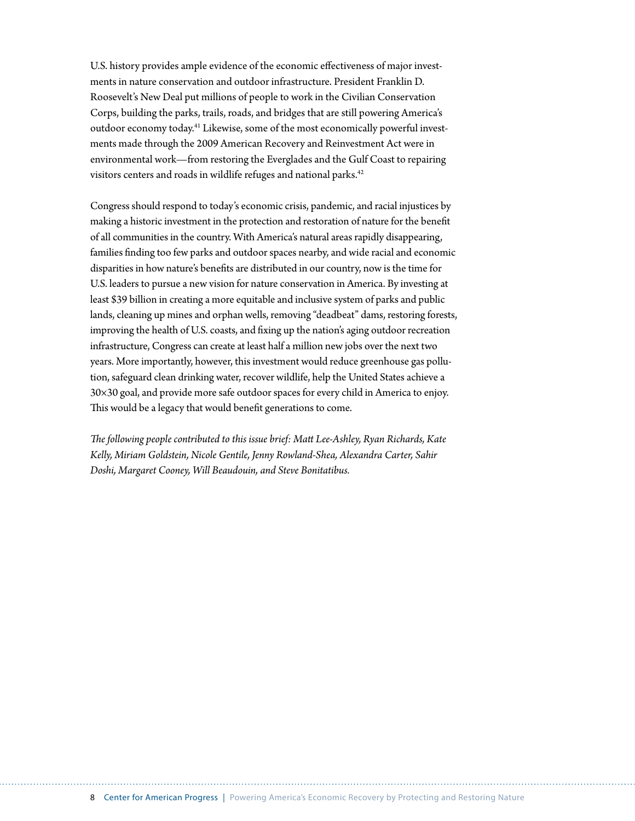U.S. history provides ample evidence of the economic effectiveness of major investments in nature conservation and outdoor infrastructure. President Franklin D. Roosevelt's New Deal put millions of people to work in the Civilian Conservation Corps, building the parks, trails, roads, and bridges that are still powering America's outdoor economy today.41 Likewise, some of the most economically powerful investments made through the 2009 American Recovery and Reinvestment Act were in environmental work—from restoring the Everglades and the Gulf Coast to repairing visitors centers and roads in wildlife refuges and national parks.<sup>42</sup>

Congress should respond to today's economic crisis, pandemic, and racial injustices by making a historic investment in the protection and restoration of nature for the benefit of all communities in the country. With America's natural areas rapidly disappearing, families finding too few parks and outdoor spaces nearby, and wide racial and economic disparities in how nature's benefits are distributed in our country, now is the time for U.S. leaders to pursue a new vision for nature conservation in America. By investing at least \$39 billion in creating a more equitable and inclusive system of parks and public lands, cleaning up mines and orphan wells, removing "deadbeat" dams, restoring forests, improving the health of U.S. coasts, and fixing up the nation's aging outdoor recreation infrastructure, Congress can create at least half a million new jobs over the next two years. More importantly, however, this investment would reduce greenhouse gas pollution, safeguard clean drinking water, recover wildlife, help the United States achieve a 30×30 goal, and provide more safe outdoor spaces for every child in America to enjoy. This would be a legacy that would benefit generations to come.

*The following people contributed to this issue brief: Matt Lee-Ashley, Ryan Richards, Kate Kelly, Miriam Goldstein, Nicole Gentile, Jenny Rowland-Shea, Alexandra Carter, Sahir Doshi, Margaret Cooney, Will Beaudouin, and Steve Bonitatibus.*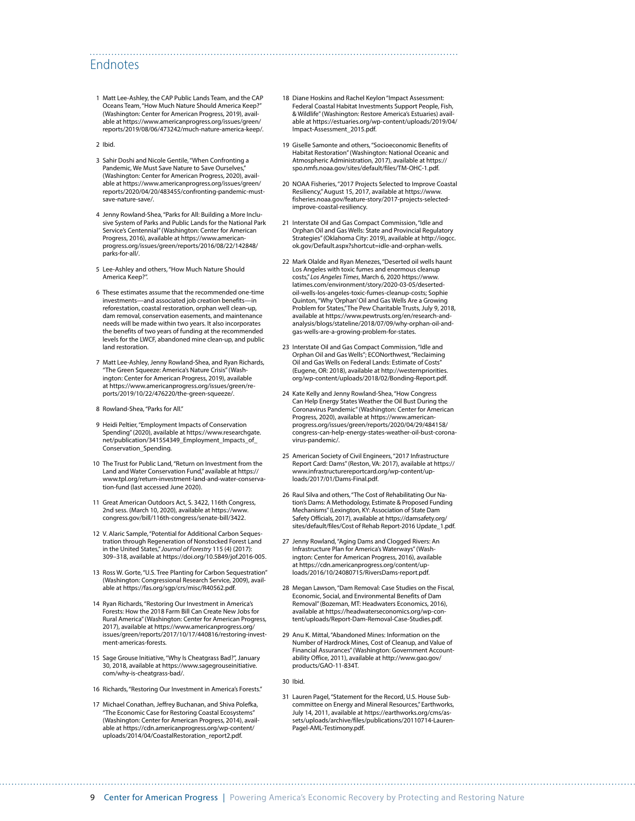### Endnotes

1 Matt Lee-Ashley, the CAP Public Lands Team, and the CAP Oceans Team, "How Much Nature Should America Keep?" (Washington: Center for American Progress, 2019), available at [https://www.americanprogress.org/issues/green/](https://www.americanprogress.org/issues/green/reports/2019/08/06/473242/much-nature-america-keep/) [reports/2019/08/06/473242/much-nature-america-keep/.](https://www.americanprogress.org/issues/green/reports/2019/08/06/473242/much-nature-america-keep/)

2 Ibid.

- 3 Sahir Doshi and Nicole Gentile, "When Confronting a Pandemic, We Must Save Nature to Save Ourselves," (Washington: Center for American Progress, 2020), available at [https://www.americanprogress.org/issues/green/](https://www.americanprogress.org/issues/green/reports/2020/04/20/483455/confronting-pandemic-must-save-nature-save/) [reports/2020/04/20/483455/confronting-pandemic-must](https://www.americanprogress.org/issues/green/reports/2020/04/20/483455/confronting-pandemic-must-save-nature-save/)[save-nature-save/](https://www.americanprogress.org/issues/green/reports/2020/04/20/483455/confronting-pandemic-must-save-nature-save/).
- 4 Jenny Rowland-Shea, "Parks for All: Building a More Inclusive System of Parks and Public Lands for the National Park Service's Centennial" (Washington: Center for American Progress, 2016), available at [https://www.american](https://www.americanprogress.org/issues/green/reports/2016/08/22/142848/parks-for-all/)[progress.org/issues/green/reports/2016/08/22/142848/](https://www.americanprogress.org/issues/green/reports/2016/08/22/142848/parks-for-all/) [parks-for-all/.](https://www.americanprogress.org/issues/green/reports/2016/08/22/142848/parks-for-all/)
- 5 Lee-Ashley and others, "How Much Nature Should America Keep?".
- 6 These estimates assume that the recommended one-time investments—and associated job creation benefits—in reforestation, coastal restoration, orphan well clean-up, dam removal, conservation easements, and maintenance needs will be made within two years. It also incorporates the benefits of two years of funding at the recommended levels for the LWCF, abandoned mine clean-up, and public land restoration.
- 7 Matt Lee-Ashley, Jenny Rowland-Shea, and Ryan Richards, "The Green Squeeze: America's Nature Crisis" (Washington: Center for American Progress, 2019), available at [https://www.americanprogress.org/issues/green/re](https://www.americanprogress.org/issues/green/reports/2019/10/22/476220/the-green-squeeze/)[ports/2019/10/22/476220/the-green-squeeze/.](https://www.americanprogress.org/issues/green/reports/2019/10/22/476220/the-green-squeeze/)
- 8 Rowland-Shea, "Parks for All."
- 9 Heidi Peltier, "Employment Impacts of Conservation Spending" (2020), available at [https://www.researchgate.](https://www.researchgate.net/publication/341554349_Employment_Impacts_of_Conservation_Spending) [net/publication/341554349\\_Employment\\_Impacts\\_of\\_](https://www.researchgate.net/publication/341554349_Employment_Impacts_of_Conservation_Spending) [Conservation\\_Spending](https://www.researchgate.net/publication/341554349_Employment_Impacts_of_Conservation_Spending).
- 10 The Trust for Public Land, "Return on Investment from the Land and Water Conservation Fund," available at [https://](https://www.tpl.org/return-investment-land-and-water-conservation-fund) [www.tpl.org/return-investment-land-and-water-conserva](https://www.tpl.org/return-investment-land-and-water-conservation-fund)[tion-fund](https://www.tpl.org/return-investment-land-and-water-conservation-fund) (last accessed June 2020).
- 11 Great American Outdoors Act, S. 3422, 116th Congress, 2nd sess. (March 10, 2020), available at [https://www.](https://www.congress.gov/bill/116th-congress/senate-bill/3422) [congress.gov/bill/116th-congress/senate-bill/3422.](https://www.congress.gov/bill/116th-congress/senate-bill/3422)
- 12 V. Alaric Sample, "Potential for Additional Carbon Sequestration through Regeneration of Nonstocked Forest Land in the United States," *Journal of Forestry* 115 (4) (2017): 309–318, available at [https://doi.org/10.5849/jof.2016-005.](https://doi.org/10.5849/jof.2016-005)
- 13 Ross W. Gorte, "U.S. Tree Planting for Carbon Sequestration" (Washington: Congressional Research Service, 2009), available at <https://fas.org/sgp/crs/misc/R40562.pdf>.
- 14 Ryan Richards, "Restoring Our Investment in America's Forests: How the 2018 Farm Bill Can Create New Jobs for Rural America" (Washington: Center for American Progress, 2017), available at [https://www.americanprogress.org/](https://www.americanprogress.org/issues/green/reports/2017/10/17/440816/restoring-investment-americas-forests) [issues/green/reports/2017/10/17/440816/restoring-invest](https://www.americanprogress.org/issues/green/reports/2017/10/17/440816/restoring-investment-americas-forests)[ment-americas-forests](https://www.americanprogress.org/issues/green/reports/2017/10/17/440816/restoring-investment-americas-forests).
- 15 Sage Grouse Initiative, "Why Is Cheatgrass Bad?", January 30, 2018, available at [https://www.sagegrouseinitiative.](https://www.sagegrouseinitiative.com/why-is-cheatgrass-bad/) [com/why-is-cheatgrass-bad/](https://www.sagegrouseinitiative.com/why-is-cheatgrass-bad/).
- 16 Richards, "Restoring Our Investment in America's Forests."
- 17 Michael Conathan, Jeffrey Buchanan, and Shiva Polefka, "The Economic Case for Restoring Coastal Ecosystems" (Washington: Center for American Progress, 2014), available at [https://cdn.americanprogress.org/wp-content/](https://cdn.americanprogress.org/wp-content/uploads/2014/04/CoastalRestoration_report2.pdf) [uploads/2014/04/CoastalRestoration\\_report2.pdf](https://cdn.americanprogress.org/wp-content/uploads/2014/04/CoastalRestoration_report2.pdf).

18 Diane Hoskins and Rachel Keylon "Impact Assessment: Federal Coastal Habitat Investments Support People, Fish, & Wildlife" (Washington: Restore America's Estuaries) available at [https://estuaries.org/wp-content/uploads/2019/04/](https://estuaries.org/wp-content/uploads/2019/04/Impact-Assessment_2015.pdf) [Impact-Assessment\\_2015.pdf.](https://estuaries.org/wp-content/uploads/2019/04/Impact-Assessment_2015.pdf)

- 19 Giselle Samonte and others, "Socioeconomic Benefits of Habitat Restoration" (Washington: National Oceanic and Atmospheric Administration, 2017), available at [https://](https://spo.nmfs.noaa.gov/sites/default/files/TM-OHC-1.pdf) [spo.nmfs.noaa.gov/sites/default/files/TM-OHC-1.pdf.](https://spo.nmfs.noaa.gov/sites/default/files/TM-OHC-1.pdf)
- 20 NOAA Fisheries, "2017 Projects Selected to Improve Coastal Resiliency," August 15, 2017, available at [https://www.](https://www.fisheries.noaa.gov/feature-story/2017-projects-selected-improve-coastal-resiliency) [fisheries.noaa.gov/feature-story/2017-projects-selected](https://www.fisheries.noaa.gov/feature-story/2017-projects-selected-improve-coastal-resiliency)[improve-coastal-resiliency](https://www.fisheries.noaa.gov/feature-story/2017-projects-selected-improve-coastal-resiliency).
- 21 Interstate Oil and Gas Compact Commission, "Idle and Orphan Oil and Gas Wells: State and Provincial Regulatory Strategies" (Oklahoma City: 2019), available at [http://iogcc.](http://iogcc.ok.gov/Default.aspx?shortcut=idle-and-orphan-wells) [ok.gov/Default.aspx?shortcut=idle-and-orphan-wells](http://iogcc.ok.gov/Default.aspx?shortcut=idle-and-orphan-wells).
- 22 Mark Olalde and Ryan Menezes, "Deserted oil wells haunt Los Angeles with toxic fumes and enormous cleanup costs," *Los Angeles Times*, March 6, 2020 [https://www.](https://www.latimes.com/environment/story/2020-03-05/deserted-oil-wells-los-angeles-toxic-fumes-cleanup-costs) [latimes.com/environment/story/2020-03-05/deserted](https://www.latimes.com/environment/story/2020-03-05/deserted-oil-wells-los-angeles-toxic-fumes-cleanup-costs)[oil-wells-los-angeles-toxic-fumes-cleanup-costs](https://www.latimes.com/environment/story/2020-03-05/deserted-oil-wells-los-angeles-toxic-fumes-cleanup-costs); Sophie Quinton, "Why 'Orphan' Oil and Gas Wells Are a Growing Problem for States," The Pew Charitable Trusts, July 9, 2018, available at [https://www.pewtrusts.org/en/research-and](https://www.pewtrusts.org/en/research-and-analysis/blogs/stateline/2018/07/09/why-orphan-oil-and-gas-wells-are-a-growing-problem-for-states)[analysis/blogs/stateline/2018/07/09/why-orphan-oil-and](https://www.pewtrusts.org/en/research-and-analysis/blogs/stateline/2018/07/09/why-orphan-oil-and-gas-wells-are-a-growing-problem-for-states)[gas-wells-are-a-growing-problem-for-states.](https://www.pewtrusts.org/en/research-and-analysis/blogs/stateline/2018/07/09/why-orphan-oil-and-gas-wells-are-a-growing-problem-for-states)
- 23 Interstate Oil and Gas Compact Commission, "Idle and Orphan Oil and Gas Wells"; ECONorthwest, "Reclaiming Oil and Gas Wells on Federal Lands: Estimate of Costs" (Eugene, OR: 2018), available at [http://westernpriorities.](http://westernpriorities.org/wp-content/uploads/2018/02/Bonding-Report.pdf) [org/wp-content/uploads/2018/02/Bonding-Report.pdf](http://westernpriorities.org/wp-content/uploads/2018/02/Bonding-Report.pdf).
- 24 Kate Kelly and Jenny Rowland-Shea, "How Congress Can Help Energy States Weather the Oil Bust During the Coronavirus Pandemic" (Washington: Center for American Progress, 2020), available at [https://www.american](https://www.americanprogress.org/issues/green/reports/2020/04/29/484158/congress-can-help-energy-states-weather-oil-bust-coronavirus-pandemic/)[progress.org/issues/green/reports/2020/04/29/484158/](https://www.americanprogress.org/issues/green/reports/2020/04/29/484158/congress-can-help-energy-states-weather-oil-bust-coronavirus-pandemic/) [congress-can-help-energy-states-weather-oil-bust-corona](https://www.americanprogress.org/issues/green/reports/2020/04/29/484158/congress-can-help-energy-states-weather-oil-bust-coronavirus-pandemic/)[virus-pandemic/](https://www.americanprogress.org/issues/green/reports/2020/04/29/484158/congress-can-help-energy-states-weather-oil-bust-coronavirus-pandemic/).
- 25 American Society of Civil Engineers, "2017 Infrastructure Report Card: Dams" (Reston, VA: 2017), available at [https://](https://www.infrastructurereportcard.org/wp-content/uploads/2017/01/Dams-Final.pdf) [www.infrastructurereportcard.org/wp-content/up](https://www.infrastructurereportcard.org/wp-content/uploads/2017/01/Dams-Final.pdf)[loads/2017/01/Dams-Final.pdf.](https://www.infrastructurereportcard.org/wp-content/uploads/2017/01/Dams-Final.pdf)
- 26 Raul Silva and others, "The Cost of Rehabilitating Our Nation's Dams: A Methodology, Estimate & Proposed Funding Mechanisms" (Lexington, KY: Association of State Dam Safety Officials, 2017), available at [https://damsafety.org/](https://damsafety.org/sites/default/files/Cost%20of%20Rehab%20Report-2016%20Update_1.pdf) [sites/default/files/Cost of Rehab Report-2016 Update\\_1.pdf](https://damsafety.org/sites/default/files/Cost%20of%20Rehab%20Report-2016%20Update_1.pdf).
- 27 Jenny Rowland, "Aging Dams and Clogged Rivers: An Infrastructure Plan for America's Waterways" (Washington: Center for American Progress, 2016), available at [https://cdn.americanprogress.org/content/up](https://cdn.americanprogress.org/content/uploads/2016/10/24080715/RiversDams-report.pdf)[loads/2016/10/24080715/RiversDams-report.pdf](https://cdn.americanprogress.org/content/uploads/2016/10/24080715/RiversDams-report.pdf).
- 28 Megan Lawson, "Dam Removal: Case Studies on the Fiscal, Economic, Social, and Environmental Benefits of Dam Removal" (Bozeman, MT: Headwaters Economics, 2016), available at [https://headwaterseconomics.org/wp-con](https://headwaterseconomics.org/wp-content/uploads/Report-Dam-Removal-Case-Studies.pdf)[tent/uploads/Report-Dam-Removal-Case-Studies.pdf](https://headwaterseconomics.org/wp-content/uploads/Report-Dam-Removal-Case-Studies.pdf).
- 29 Anu K. Mittal, "Abandoned Mines: Information on the Number of Hardrock Mines, Cost of Cleanup, and Value of Financial Assurances" (Washington: Government Accountability Office, 2011), available at [http://www.gao.gov/](http://www.gao.gov/products/GAO-11-834T) [products/GAO-11-834T.](http://www.gao.gov/products/GAO-11-834T)

#### 30 Ibid.

31 Lauren Pagel, "Statement for the Record, U.S. House Subcommittee on Energy and Mineral Resources," Earthworks, July 14, 2011, available at [https://earthworks.org/cms/as](https://earthworks.org/cms/assets/uploads/archive/files/publications/20110714-Lauren-Pagel-AML-Testimony.pdf)[sets/uploads/archive/files/publications/20110714-Lauren-](https://earthworks.org/cms/assets/uploads/archive/files/publications/20110714-Lauren-Pagel-AML-Testimony.pdf)[Pagel-AML-Testimony.pdf](https://earthworks.org/cms/assets/uploads/archive/files/publications/20110714-Lauren-Pagel-AML-Testimony.pdf).